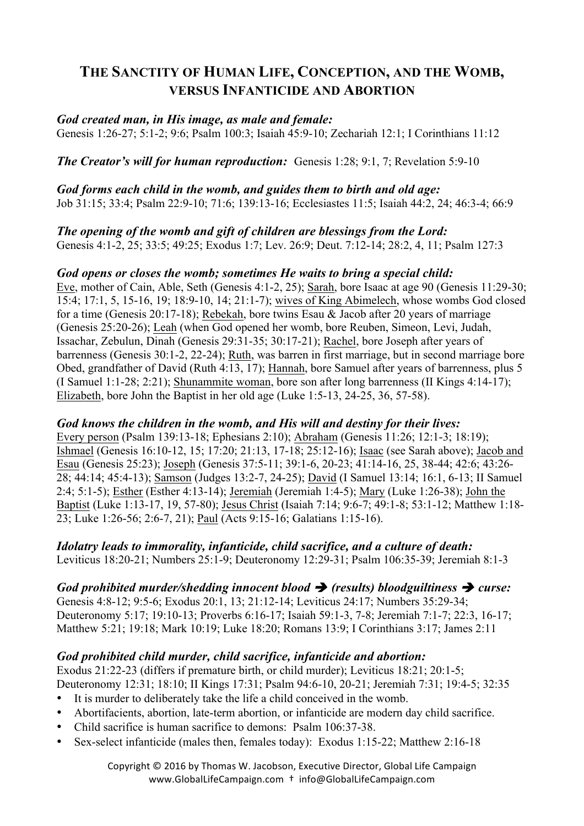# **THE SANCTITY OF HUMAN LIFE, CONCEPTION, AND THE WOMB, VERSUS INFANTICIDE AND ABORTION**

#### *God created man, in His image, as male and female:*

Genesis 1:26-27; 5:1-2; 9:6; Psalm 100:3; Isaiah 45:9-10; Zechariah 12:1; I Corinthians 11:12

*The Creator's will for human reproduction: Genesis 1:28: 9:1, 7: Revelation 5:9-10* 

*God forms each child in the womb, and guides them to birth and old age:*  Job 31:15; 33:4; Psalm 22:9-10; 71:6; 139:13-16; Ecclesiastes 11:5; Isaiah 44:2, 24; 46:3-4; 66:9

*The opening of the womb and gift of children are blessings from the Lord:*  Genesis 4:1-2, 25; 33:5; 49:25; Exodus 1:7; Lev. 26:9; Deut. 7:12-14; 28:2, 4, 11; Psalm 127:3

#### *God opens or closes the womb; sometimes He waits to bring a special child:*

Eve, mother of Cain, Able, Seth (Genesis 4:1-2, 25); Sarah, bore Isaac at age 90 (Genesis 11:29-30; 15:4; 17:1, 5, 15-16, 19; 18:9-10, 14; 21:1-7); wives of King Abimelech, whose wombs God closed for a time (Genesis 20:17-18); Rebekah, bore twins Esau & Jacob after 20 years of marriage (Genesis 25:20-26); Leah (when God opened her womb, bore Reuben, Simeon, Levi, Judah, Issachar, Zebulun, Dinah (Genesis 29:31-35; 30:17-21); Rachel, bore Joseph after years of barrenness (Genesis 30:1-2, 22-24); Ruth, was barren in first marriage, but in second marriage bore Obed, grandfather of David (Ruth 4:13, 17); Hannah, bore Samuel after years of barrenness, plus 5 (I Samuel 1:1-28; 2:21); Shunammite woman, bore son after long barrenness (II Kings 4:14-17); Elizabeth, bore John the Baptist in her old age (Luke 1:5-13, 24-25, 36, 57-58).

#### *God knows the children in the womb, and His will and destiny for their lives:*

Every person (Psalm 139:13-18; Ephesians 2:10); Abraham (Genesis 11:26; 12:1-3; 18:19); Ishmael (Genesis 16:10-12, 15; 17:20; 21:13, 17-18; 25:12-16); Isaac (see Sarah above); Jacob and Esau (Genesis 25:23); Joseph (Genesis 37:5-11; 39:1-6, 20-23; 41:14-16, 25, 38-44; 42:6; 43:26- 28; 44:14; 45:4-13); Samson (Judges 13:2-7, 24-25); David (I Samuel 13:14; 16:1, 6-13; II Samuel 2:4; 5:1-5); Esther (Esther 4:13-14); Jeremiah (Jeremiah 1:4-5); Mary (Luke 1:26-38); John the Baptist (Luke 1:13-17, 19, 57-80); Jesus Christ (Isaiah 7:14; 9:6-7; 49:1-8; 53:1-12; Matthew 1:18- 23; Luke 1:26-56; 2:6-7, 21); Paul (Acts 9:15-16; Galatians 1:15-16).

*Idolatry leads to immorality, infanticide, child sacrifice, and a culture of death:*  Leviticus 18:20-21; Numbers 25:1-9; Deuteronomy 12:29-31; Psalm 106:35-39; Jeremiah 8:1-3

# *God prohibited murder/shedding innocent blood*  $\rightarrow$  *(results) bloodguiltiness*  $\rightarrow$  *curse:*

Genesis 4:8-12; 9:5-6; Exodus 20:1, 13; 21:12-14; Leviticus 24:17; Numbers 35:29-34; Deuteronomy 5:17; 19:10-13; Proverbs 6:16-17; Isaiah 59:1-3, 7-8; Jeremiah 7:1-7; 22:3, 16-17; Matthew 5:21; 19:18; Mark 10:19; Luke 18:20; Romans 13:9; I Corinthians 3:17; James 2:11

#### *God prohibited child murder, child sacrifice, infanticide and abortion:*

Exodus 21:22-23 (differs if premature birth, or child murder); Leviticus 18:21; 20:1-5; Deuteronomy 12:31; 18:10; II Kings 17:31; Psalm 94:6-10, 20-21; Jeremiah 7:31; 19:4-5; 32:35

- It is murder to deliberately take the life a child conceived in the womb.
- Abortifacients, abortion, late-term abortion, or infanticide are modern day child sacrifice.
- Child sacrifice is human sacrifice to demons: Psalm 106:37-38.
- Sex-select infanticide (males then, females today): Exodus 1:15-22; Matthew 2:16-18